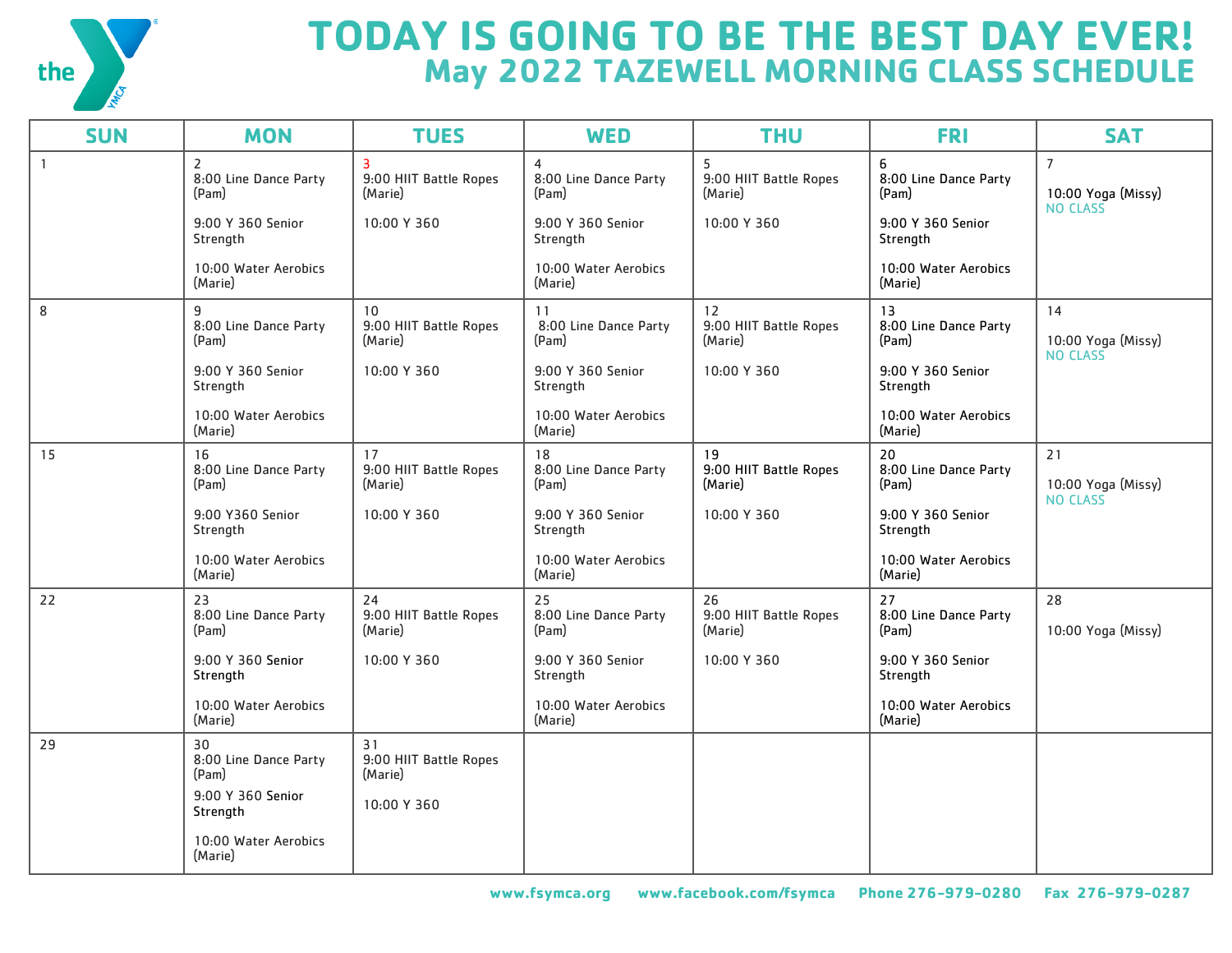

## **TODAY IS GOING TO BE THE BEST DAY EVER! May 2022 TAZEWELL MORNING CLASS SCHEDULE**

| <b>SUN</b>   | <b>MON</b>                                       | <b>TUES</b>                                         | <b>WED</b>                           | <b>THU</b>                              | <b>FRI</b>                           | <b>SAT</b>                                              |
|--------------|--------------------------------------------------|-----------------------------------------------------|--------------------------------------|-----------------------------------------|--------------------------------------|---------------------------------------------------------|
| $\mathbf{1}$ | $\overline{2}$<br>8:00 Line Dance Party<br>(Pam) | $\overline{3}$<br>9:00 HIIT Battle Ropes<br>(Marie) | 4<br>8:00 Line Dance Party<br>(Pam)  | 5<br>9:00 HIIT Battle Ropes<br>(Marie)  | 6<br>8:00 Line Dance Party<br>(Pam)  | $\overline{7}$<br>10:00 Yoga (Missy)<br><b>NO CLASS</b> |
|              | 9:00 Y 360 Senior<br>Strength                    | 10:00 Y 360                                         | 9:00 Y 360 Senior<br>Strength        | 10:00 Y 360                             | 9:00 Y 360 Senior<br>Strength        |                                                         |
|              | 10:00 Water Aerobics<br>(Marie)                  |                                                     | 10:00 Water Aerobics<br>(Marie)      |                                         | 10:00 Water Aerobics<br>(Marie)      |                                                         |
| 8            | 9<br>8:00 Line Dance Party<br>(Pam)              | 10<br>9:00 HIIT Battle Ropes<br>(Marie)             | 11<br>8:00 Line Dance Party<br>(Pam) | 12<br>9:00 HIIT Battle Ropes<br>(Marie) | 13<br>8:00 Line Dance Party<br>(Pam) | 14<br>10:00 Yoga (Missy)<br><b>NO CLASS</b>             |
|              | 9:00 Y 360 Senior<br>Strength                    | 10:00 Y 360                                         | 9:00 Y 360 Senior<br>Strength        | 10:00 Y 360                             | 9:00 Y 360 Senior<br>Strength        |                                                         |
|              | 10:00 Water Aerobics<br>(Marie)                  |                                                     | 10:00 Water Aerobics<br>(Marie)      |                                         | 10:00 Water Aerobics<br>(Marie)      |                                                         |
| 15           | 16<br>8:00 Line Dance Party<br>(Pam)             | 17<br>9:00 HIIT Battle Ropes<br>(Marie)             | 18<br>8:00 Line Dance Party<br>(Pam) | 19<br>9:00 HIIT Battle Ropes<br>(Marie) | 20<br>8:00 Line Dance Party<br>(Pam) | 21<br>10:00 Yoga (Missy)<br><b>NO CLASS</b>             |
|              | 9:00 Y360 Senior<br>Strength                     | 10:00 Y 360                                         | 9:00 Y 360 Senior<br>Strength        | 10:00 Y 360                             | 9:00 Y 360 Senior<br>Strength        |                                                         |
|              | 10:00 Water Aerobics<br>(Marie)                  |                                                     | 10:00 Water Aerobics<br>(Marie)      |                                         | 10:00 Water Aerobics<br>(Marie)      |                                                         |
| 22           | 23<br>8:00 Line Dance Party<br>(Pam)             | 24<br>9:00 HIIT Battle Ropes<br>(Marie)             | 25<br>8:00 Line Dance Party<br>(Pam) | 26<br>9:00 HIIT Battle Ropes<br>(Marie) | 27<br>8:00 Line Dance Party<br>(Pam) | 28<br>10:00 Yoga (Missy)                                |
|              | 9:00 Y 360 Senior<br>Strength                    | 10:00 Y 360                                         | 9:00 Y 360 Senior<br>Strength        | 10:00 Y 360                             | 9:00 Y 360 Senior<br>Strength        |                                                         |
|              | 10:00 Water Aerobics<br>(Marie)                  |                                                     | 10:00 Water Aerobics<br>(Marie)      |                                         | 10:00 Water Aerobics<br>(Marie)      |                                                         |
| 29           | 30<br>8:00 Line Dance Party<br>(Pam)             | 31<br>9:00 HIIT Battle Ropes<br>(Marie)             |                                      |                                         |                                      |                                                         |
|              | 9:00 Y 360 Senior<br>Strength                    | 10:00 Y 360                                         |                                      |                                         |                                      |                                                         |
|              | 10:00 Water Aerobics<br>(Marie)                  |                                                     |                                      |                                         |                                      |                                                         |